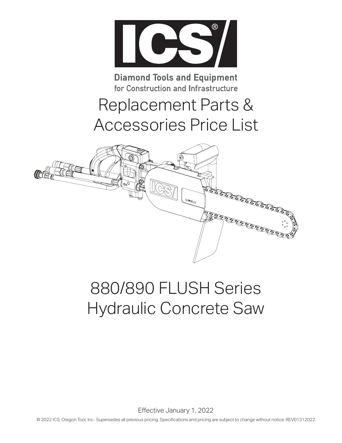

**Diamond Tools and Equipment** for Construction and Infrastructure

## Replacement Parts & Accessories Price List



# 880/890 FLUSH Series Hydraulic Concrete Saw

Effective January 1, 2022

© 2022 ICS, Oregon Tool, Inc. Supersedes all previous pricing. Specifications and pricing are subject to change without notice. REV01312022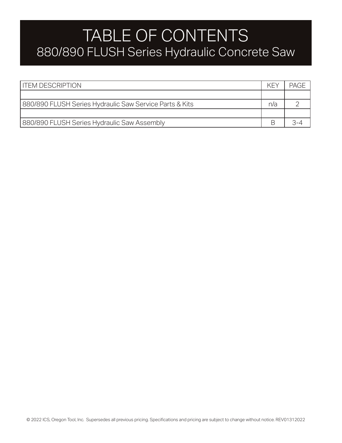#### TABLE OF CONTENTS 880/890 FLUSH Series Hydraulic Concrete Saw

| <b>I ITEM DESCRIPTION</b>                               | KF) | <b>PAGE</b> |
|---------------------------------------------------------|-----|-------------|
|                                                         |     |             |
| 880/890 FLUSH Series Hydraulic Saw Service Parts & Kits | n/a |             |
|                                                         |     |             |
| 880/890 FLUSH Series Hydraulic Saw Assembly             |     |             |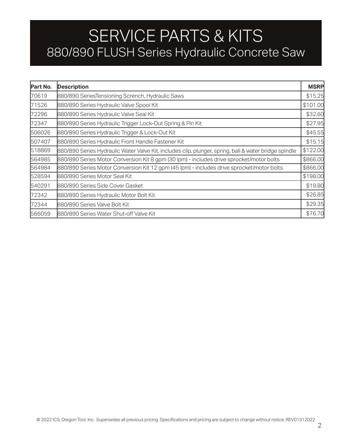### SERVICE PARTS & KITS 880/890 FLUSH Series Hydraulic Concrete Saw

| Part No. | <b>Description</b>                                                                                    | <b>MSRP</b> |
|----------|-------------------------------------------------------------------------------------------------------|-------------|
| 70619    | 880/890 SeriesTensioning Scrench, Hydraulic Saws                                                      | \$15.25     |
| 71526    | 880/890 Series Hydraulic Valve Spool Kit                                                              | \$101.00    |
| 72296    | 880/890 Series Hydraulic Valve Seal Kit                                                               | \$32.60     |
| 72347    | 880/890 Series Hydraulic Trigger Lock-Out Spring & Pin Kit                                            | \$27.95     |
| 506026   | 880/890 Series Hydraulic Trigger & Lock-Out Kit                                                       | \$45.55     |
| 507407   | 880/890 Series Hydraulic Front Handle Fastener Kit                                                    | \$15.15     |
| 518869   | 880/890 Series Hydraulic Water Valve Kit, includes clip, plunger, spring, ball & water bridge spindle | \$122.00    |
| 564985   | 880/890 Series Motor Conversion Kit 8 gpm (30 lpm) - includes drive sprocket/motor bolts              | \$866.00    |
| 564984   | 880/890 Series Motor Conversion Kit 12 gpm (45 lpm) - includes drive sprocket/motor bolts             | \$866.00    |
| 528594   | 880/890 Series Motor Seal Kit                                                                         | \$198.00    |
| 540291   | 880/890 Series Side Cover Gasket                                                                      | \$19.80     |
| 72342    | 880/890 Series Hydraulic Motor Bolt Kit                                                               | \$26.85     |
| 72344    | 880/890 Series Valve Bolt Kit                                                                         | \$29.35     |
| 566059   | 880/890 Series Water Shut-off Valve Kit                                                               | \$76.70     |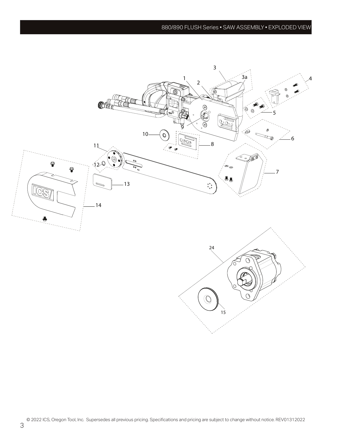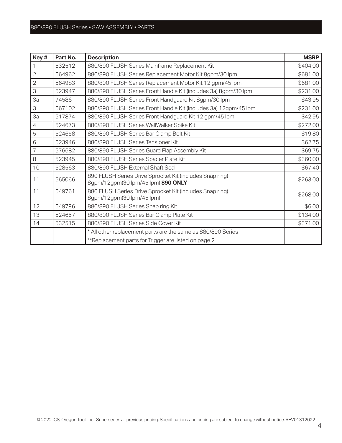#### 880/890 FLUSH Series • SAW ASSEMBLY • PARTS

| Key#           | Part No. | <b>Description</b>                                                                             | <b>MSRP</b> |
|----------------|----------|------------------------------------------------------------------------------------------------|-------------|
|                | 532512   | 880/890 FLUSH Series Mainframe Replacement Kit                                                 | \$404.00    |
| $\overline{2}$ | 564962   | 880/890 FLUSH Series Replacement Motor Kit 8gpm/30 lpm                                         | \$681.00    |
| $\overline{2}$ | 564983   | 880/890 FLUSH Series Replacement Motor Kit 12 gpm/45 lpm                                       | \$681.00    |
| 3              | 523947   | 880/890 FLUSH Series Front Handle Kit (includes 3a) 8gpm/30 lpm                                | \$231.00    |
| За             | 74586    | 880/890 FLUSH Series Front Handguard Kit 8gpm/30 lpm                                           | \$43.95     |
| 3              | 567102   | 880/890 FLUSH Series Front Handle Kit (includes 3a) 12gpm/45 lpm                               | \$231.00    |
| За             | 517874   | 880/890 FLUSH Series Front Handguard Kit 12 gpm/45 lpm                                         | \$42.95     |
| $\overline{4}$ | 524673   | 880/890 FLUSH Series WallWalker Spike Kit                                                      | \$272.00    |
| 5              | 524658   | 880/890 FLUSH Series Bar Clamp Bolt Kit                                                        | \$19.80     |
| 6              | 523946   | 880/890 FLUSH Series Tensioner Kit                                                             | \$62.75     |
| $\overline{7}$ | 576682   | 880/890 FLUSH Series Guard Flap Assembly Kit                                                   | \$69.75     |
| 8              | 523945   | 880/890 FLUSH Series Spacer Plate Kit                                                          | \$360.00    |
| 10             | 528563   | 880/890 FLUSH External Shaft Seal                                                              | \$67.40     |
| 11             | 565066   | 890 FLUSH Series Drive Sprocket Kit (includes Snap ring)<br>8gpm/12gpm(30 lpm/45 lpm) 890 ONLY | \$263.00    |
| 11             | 549761   | 880 FLUSH Series Drive Sprocket Kit (includes Snap ring)<br>8gpm/12gpm(30 lpm/45 lpm)          | \$268.00    |
| 12             | 549796   | 880/890 FLUSH Series Snap ring Kit                                                             | \$6.00      |
| 13             | 524657   | 880/890 FLUSH Series Bar Clamp Plate Kit                                                       | \$134.00    |
| 14             | 532515   | 880/890 FLUSH Series Side Cover Kit                                                            | \$371.00    |
|                |          | * All other replacement parts are the same as 880/890 Series                                   |             |
|                |          | **Replacement parts for Trigger are listed on page 2                                           |             |